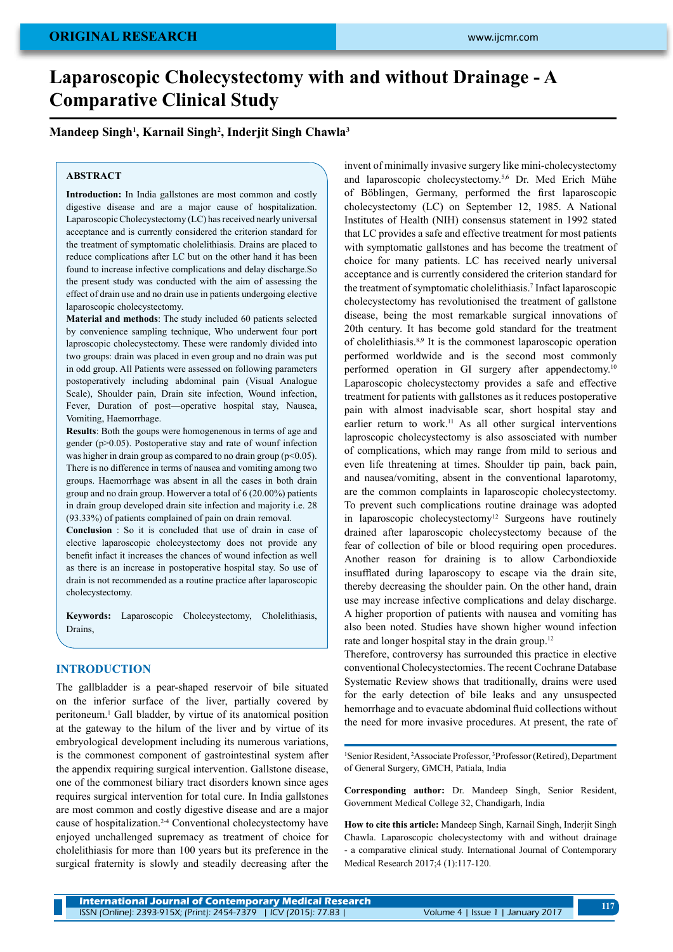# **Laparoscopic Cholecystectomy with and without Drainage - A Comparative Clinical Study**

# **Mandeep Singh1 , Karnail Singh2 , Inderjit Singh Chawla3**

## **ABSTRACT**

**Introduction:** In India gallstones are most common and costly digestive disease and are a major cause of hospitalization. Laparoscopic Cholecystectomy (LC) has received nearly universal acceptance and is currently considered the criterion standard for the treatment of symptomatic cholelithiasis. Drains are placed to reduce complications after LC but on the other hand it has been found to increase infective complications and delay discharge.So the present study was conducted with the aim of assessing the effect of drain use and no drain use in patients undergoing elective laparoscopic cholecystectomy.

**Material and methods**: The study included 60 patients selected by convenience sampling technique, Who underwent four port laproscopic cholecystectomy. These were randomly divided into two groups: drain was placed in even group and no drain was put in odd group. All Patients were assessed on following parameters postoperatively including abdominal pain (Visual Analogue Scale), Shoulder pain, Drain site infection, Wound infection, Fever, Duration of post—operative hospital stay, Nausea, Vomiting, Haemorrhage.

**Results**: Both the goups were homogenenous in terms of age and gender (p>0.05). Postoperative stay and rate of wounf infection was higher in drain group as compared to no drain group  $(p<0.05)$ . There is no difference in terms of nausea and vomiting among two groups. Haemorrhage was absent in all the cases in both drain group and no drain group. Howerver a total of 6 (20.00%) patients in drain group developed drain site infection and majority i.e. 28 (93.33%) of patients complained of pain on drain removal.

**Conclusion** : So it is concluded that use of drain in case of elective laparoscopic cholecystectomy does not provide any benefit infact it increases the chances of wound infection as well as there is an increase in postoperative hospital stay. So use of drain is not recommended as a routine practice after laparoscopic cholecystectomy.

**Keywords:** Laparoscopic Cholecystectomy, Cholelithiasis, Drains,

#### **Introduction**

The gallbladder is a pear-shaped reservoir of bile situated on the inferior surface of the liver, partially covered by peritoneum.1 Gall bladder, by virtue of its anatomical position at the gateway to the hilum of the liver and by virtue of its embryological development including its numerous variations, is the commonest component of gastrointestinal system after the appendix requiring surgical intervention. Gallstone disease, one of the commonest biliary tract disorders known since ages requires surgical intervention for total cure. In India gallstones are most common and costly digestive disease and are a major cause of hospitalization.2-4 Conventional cholecystectomy have enjoyed unchallenged supremacy as treatment of choice for cholelithiasis for more than 100 years but its preference in the surgical fraternity is slowly and steadily decreasing after the

invent of minimally invasive surgery like mini-cholecystectomy and laparoscopic cholecystectomy.5,6 Dr. Med Erich Mühe of Böblingen, Germany, performed the first laparoscopic cholecystectomy (LC) on September 12, 1985. A National Institutes of Health (NIH) consensus statement in 1992 stated that LC provides a safe and effective treatment for most patients with symptomatic gallstones and has become the treatment of choice for many patients. LC has received nearly universal acceptance and is currently considered the criterion standard for the treatment of symptomatic cholelithiasis.<sup>7</sup> Infact laparoscopic cholecystectomy has revolutionised the treatment of gallstone disease, being the most remarkable surgical innovations of 20th century. It has become gold standard for the treatment of cholelithiasis.8,9 It is the commonest laparoscopic operation performed worldwide and is the second most commonly performed operation in GI surgery after appendectomy.<sup>10</sup> Laparoscopic cholecystectomy provides a safe and effective treatment for patients with gallstones as it reduces postoperative pain with almost inadvisable scar, short hospital stay and earlier return to work.<sup>11</sup> As all other surgical interventions laproscopic cholecystectomy is also assosciated with number of complications, which may range from mild to serious and even life threatening at times. Shoulder tip pain, back pain, and nausea/vomiting, absent in the conventional laparotomy, are the common complaints in laparoscopic cholecystectomy. To prevent such complications routine drainage was adopted in laparoscopic cholecystectomy<sup>12</sup> Surgeons have routinely drained after laparoscopic cholecystectomy because of the fear of collection of bile or blood requiring open procedures. Another reason for draining is to allow Carbondioxide insufflated during laparoscopy to escape via the drain site, thereby decreasing the shoulder pain. On the other hand, drain use may increase infective complications and delay discharge. A higher proportion of patients with nausea and vomiting has also been noted. Studies have shown higher wound infection rate and longer hospital stay in the drain group.<sup>12</sup>

Therefore, controversy has surrounded this practice in elective conventional Cholecystectomies. The recent Cochrane Database Systematic Review shows that traditionally, drains were used for the early detection of bile leaks and any unsuspected hemorrhage and to evacuate abdominal fluid collections without the need for more invasive procedures. At present, the rate of

<sup>1</sup>Senior Resident, <sup>2</sup>Associate Professor, <sup>3</sup>Professor (Retired), Department of General Surgery, GMCH, Patiala, India

**Corresponding author:** Dr. Mandeep Singh, Senior Resident, Government Medical College 32, Chandigarh, India

**How to cite this article:** Mandeep Singh, Karnail Singh, Inderjit Singh Chawla. Laparoscopic cholecystectomy with and without drainage - a comparative clinical study. International Journal of Contemporary Medical Research 2017;4 (1):117-120.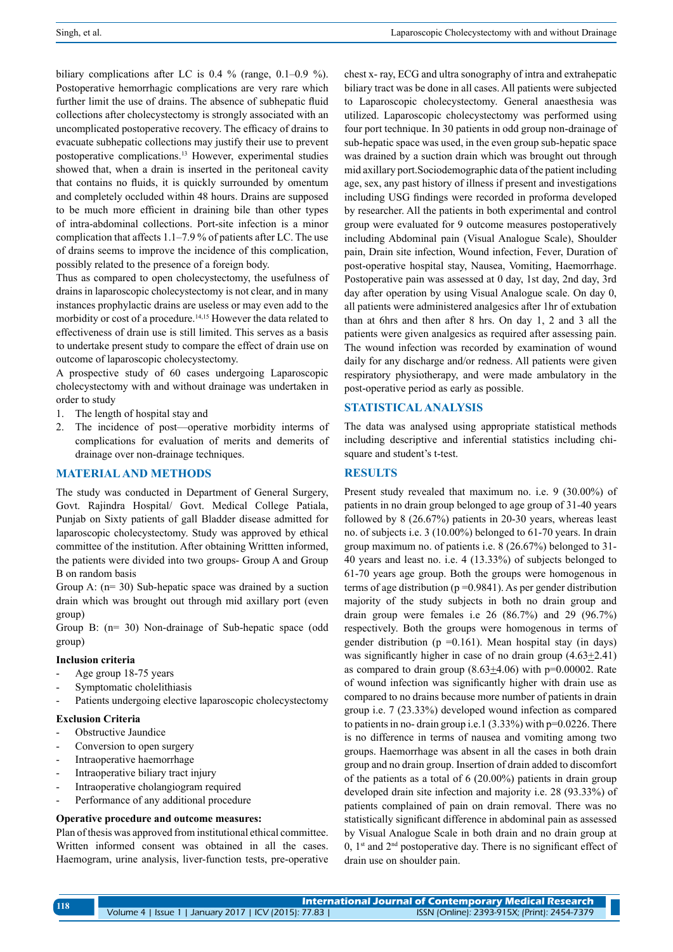biliary complications after LC is 0.4 % (range, 0.1–0.9 %). Postoperative hemorrhagic complications are very rare which further limit the use of drains. The absence of subhepatic fluid collections after cholecystectomy is strongly associated with an uncomplicated postoperative recovery. The efficacy of drains to evacuate subhepatic collections may justify their use to prevent postoperative complications.13 However, experimental studies showed that, when a drain is inserted in the peritoneal cavity that contains no fluids, it is quickly surrounded by omentum and completely occluded within 48 hours. Drains are supposed to be much more efficient in draining bile than other types of intra-abdominal collections. Port-site infection is a minor complication that affects 1.1–7.9 % of patients after LC. The use of drains seems to improve the incidence of this complication, possibly related to the presence of a foreign body.

Thus as compared to open cholecystectomy, the usefulness of drains in laparoscopic cholecystectomy is not clear, and in many instances prophylactic drains are useless or may even add to the morbidity or cost of a procedure.14,15 However the data related to effectiveness of drain use is still limited. This serves as a basis to undertake present study to compare the effect of drain use on outcome of laparoscopic cholecystectomy.

A prospective study of 60 cases undergoing Laparoscopic cholecystectomy with and without drainage was undertaken in order to study

- 1. The length of hospital stay and
- 2. The incidence of post—operative morbidity interms of complications for evaluation of merits and demerits of drainage over non-drainage techniques.

## **Materialand methods**

The study was conducted in Department of General Surgery, Govt. Rajindra Hospital/ Govt. Medical College Patiala, Punjab on Sixty patients of gall Bladder disease admitted for laparoscopic cholecystectomy. Study was approved by ethical committee of the institution. After obtaining Writtten informed, the patients were divided into two groups- Group A and Group B on random basis

Group A: (n= 30) Sub-hepatic space was drained by a suction drain which was brought out through mid axillary port (even group)

Group B: (n= 30) Non-drainage of Sub-hepatic space (odd group)

## **Inclusion criteria**

- Age group 18-75 years
- Symptomatic cholelithiasis
- Patients undergoing elective laparoscopic cholecystectomy

## **Exclusion Criteria**

- Obstructive Jaundice
- Conversion to open surgery
- Intraoperative haemorrhage
- Intraoperative biliary tract injury
- Intraoperative cholangiogram required
- Performance of any additional procedure

#### **Operative procedure and outcome measures:**

Plan of thesis was approved from institutional ethical committee. Written informed consent was obtained in all the cases. Haemogram, urine analysis, liver-function tests, pre-operative chest x- ray, ECG and ultra sonography of intra and extrahepatic biliary tract was be done in all cases. All patients were subjected to Laparoscopic cholecystectomy. General anaesthesia was utilized. Laparoscopic cholecystectomy was performed using four port technique. In 30 patients in odd group non-drainage of sub-hepatic space was used, in the even group sub-hepatic space was drained by a suction drain which was brought out through mid axillary port.Sociodemographic data of the patient including age, sex, any past history of illness if present and investigations including USG findings were recorded in proforma developed by researcher. All the patients in both experimental and control group were evaluated for 9 outcome measures postoperatively including Abdominal pain (Visual Analogue Scale), Shoulder pain, Drain site infection, Wound infection, Fever, Duration of post-operative hospital stay, Nausea, Vomiting, Haemorrhage. Postoperative pain was assessed at 0 day, 1st day, 2nd day, 3rd day after operation by using Visual Analogue scale. On day 0, all patients were administered analgesics after 1hr of extubation than at 6hrs and then after 8 hrs. On day 1, 2 and 3 all the patients were given analgesics as required after assessing pain. The wound infection was recorded by examination of wound daily for any discharge and/or redness. All patients were given respiratory physiotherapy, and were made ambulatory in the post-operative period as early as possible.

# **Statisticalanalysis**

The data was analysed using appropriate statistical methods including descriptive and inferential statistics including chisquare and student's t-test.

#### **Results**

Present study revealed that maximum no. i.e. 9 (30.00%) of patients in no drain group belonged to age group of 31-40 years followed by 8 (26.67%) patients in 20-30 years, whereas least no. of subjects i.e. 3 (10.00%) belonged to 61-70 years. In drain group maximum no. of patients i.e. 8 (26.67%) belonged to 31- 40 years and least no. i.e. 4 (13.33%) of subjects belonged to 61-70 years age group. Both the groups were homogenous in terms of age distribution ( $p = 0.9841$ ). As per gender distribution majority of the study subjects in both no drain group and drain group were females i.e 26 (86.7%) and 29 (96.7%) respectively. Both the groups were homogenous in terms of gender distribution ( $p = 0.161$ ). Mean hospital stay (in days) was significantly higher in case of no drain group  $(4.63 \pm 2.41)$ as compared to drain group  $(8.63+4.06)$  with  $p=0.00002$ . Rate of wound infection was significantly higher with drain use as compared to no drains because more number of patients in drain group i.e. 7 (23.33%) developed wound infection as compared to patients in no- drain group i.e.1 (3.33%) with p=0.0226. There is no difference in terms of nausea and vomiting among two groups. Haemorrhage was absent in all the cases in both drain group and no drain group. Insertion of drain added to discomfort of the patients as a total of 6 (20.00%) patients in drain group developed drain site infection and majority i.e. 28 (93.33%) of patients complained of pain on drain removal. There was no statistically significant difference in abdominal pain as assessed by Visual Analogue Scale in both drain and no drain group at 0,  $1<sup>st</sup>$  and  $2<sup>nd</sup>$  postoperative day. There is no significant effect of drain use on shoulder pain.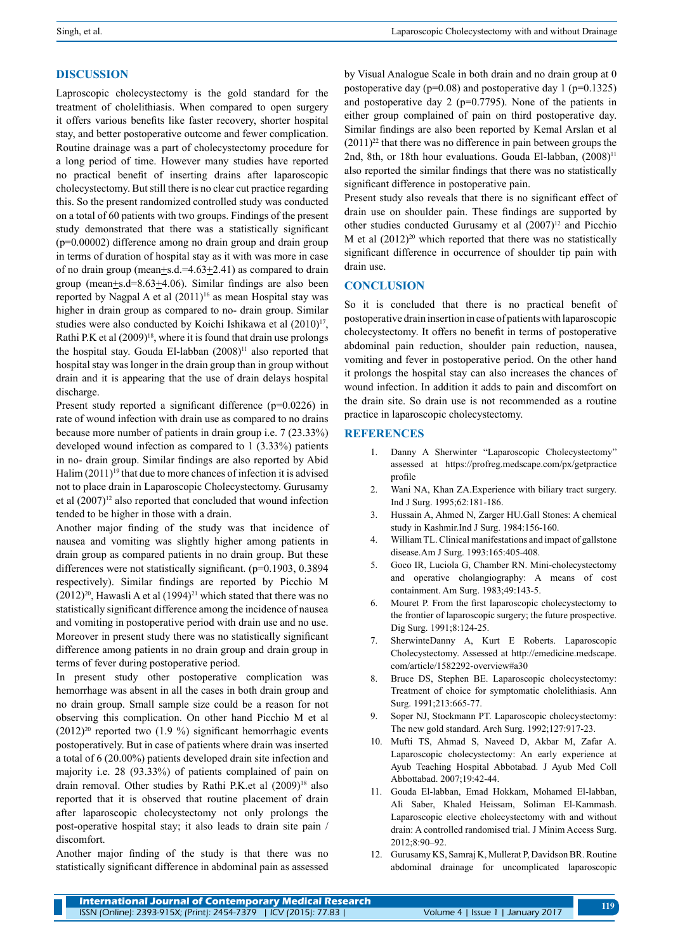# **Discussion**

Laproscopic cholecystectomy is the gold standard for the treatment of cholelithiasis. When compared to open surgery it offers various benefits like faster recovery, shorter hospital stay, and better postoperative outcome and fewer complication. Routine drainage was a part of cholecystectomy procedure for a long period of time. However many studies have reported no practical benefit of inserting drains after laparoscopic cholecystectomy. But still there is no clear cut practice regarding this. So the present randomized controlled study was conducted on a total of 60 patients with two groups. Findings of the present study demonstrated that there was a statistically significant (p=0.00002) difference among no drain group and drain group in terms of duration of hospital stay as it with was more in case of no drain group (mean+s.d.=4.63+2.41) as compared to drain group (mean+s.d=8.63+4.06). Similar findings are also been reported by Nagpal A et al  $(2011)^{16}$  as mean Hospital stay was higher in drain group as compared to no- drain group. Similar studies were also conducted by Koichi Ishikawa et al (2010)<sup>17</sup>, Rathi P.K et al  $(2009)^{18}$ , where it is found that drain use prolongs the hospital stay. Gouda El-labban (2008)<sup>11</sup> also reported that hospital stay was longer in the drain group than in group without drain and it is appearing that the use of drain delays hospital discharge.

Present study reported a significant difference (p=0.0226) in rate of wound infection with drain use as compared to no drains because more number of patients in drain group i.e. 7 (23.33%) developed wound infection as compared to 1 (3.33%) patients in no- drain group. Similar findings are also reported by Abid Halim  $(2011)^{19}$  that due to more chances of infection it is advised not to place drain in Laparoscopic Cholecystectomy. Gurusamy et al (2007)<sup>12</sup> also reported that concluded that wound infection tended to be higher in those with a drain.

Another major finding of the study was that incidence of nausea and vomiting was slightly higher among patients in drain group as compared patients in no drain group. But these differences were not statistically significant. (p=0.1903, 0.3894) respectively). Similar findings are reported by Picchio M  $(2012)^{20}$ , Hawasli A et al  $(1994)^{21}$  which stated that there was no statistically significant difference among the incidence of nausea and vomiting in postoperative period with drain use and no use. Moreover in present study there was no statistically significant difference among patients in no drain group and drain group in terms of fever during postoperative period.

In present study other postoperative complication was hemorrhage was absent in all the cases in both drain group and no drain group. Small sample size could be a reason for not observing this complication. On other hand Picchio M et al  $(2012)^{20}$  reported two  $(1.9\%)$  significant hemorrhagic events postoperatively. But in case of patients where drain was inserted a total of 6 (20.00%) patients developed drain site infection and majority i.e. 28 (93.33%) of patients complained of pain on drain removal. Other studies by Rathi P.K.et al  $(2009)^{18}$  also reported that it is observed that routine placement of drain after laparoscopic cholecystectomy not only prolongs the post-operative hospital stay; it also leads to drain site pain / discomfort.

Another major finding of the study is that there was no statistically significant difference in abdominal pain as assessed by Visual Analogue Scale in both drain and no drain group at 0 postoperative day ( $p=0.08$ ) and postoperative day 1 ( $p=0.1325$ ) and postoperative day 2 ( $p=0.7795$ ). None of the patients in either group complained of pain on third postoperative day. Similar findings are also been reported by Kemal Arslan et al  $(2011)^{22}$  that there was no difference in pain between groups the 2nd, 8th, or 18th hour evaluations. Gouda El-labban, (2008)<sup>11</sup> also reported the similar findings that there was no statistically significant difference in postoperative pain.

Present study also reveals that there is no significant effect of drain use on shoulder pain. These findings are supported by other studies conducted Gurusamy et al  $(2007)^{12}$  and Picchio M et al  $(2012)^{20}$  which reported that there was no statistically significant difference in occurrence of shoulder tip pain with drain use.

# **Conclusion**

So it is concluded that there is no practical benefit of postoperative drain insertion in case of patients with laparoscopic cholecystectomy. It offers no benefit in terms of postoperative abdominal pain reduction, shoulder pain reduction, nausea, vomiting and fever in postoperative period. On the other hand it prolongs the hospital stay can also increases the chances of wound infection. In addition it adds to pain and discomfort on the drain site. So drain use is not recommended as a routine practice in laparoscopic cholecystectomy.

# **References**

- 1. Danny A Sherwinter "Laparoscopic Cholecystectomy" assessed at https://profreg.medscape.com/px/getpractice profile
- 2. Wani NA, Khan ZA.Experience with biliary tract surgery. Ind J Surg. 1995;62:181-186.
- 3. Hussain A, Ahmed N, Zarger HU.Gall Stones: A chemical study in Kashmir.Ind J Surg. 1984:156-160.
- 4. William TL. Clinical manifestations and impact of gallstone disease.Am J Surg. 1993:165:405-408.
- 5. Goco IR, Luciola G, Chamber RN. Mini-cholecystectomy and operative cholangiography: A means of cost containment. Am Surg. 1983;49:143-5.
- 6. Mouret P. From the first laparoscopic cholecystectomy to the frontier of laparoscopic surgery; the future prospective. Dig Surg. 1991;8:124-25.
- 7. SherwinteDanny A, Kurt E Roberts. Laparoscopic Cholecystectomy. Assessed at http://emedicine.medscape. com/article/1582292-overview#a30
- 8. Bruce DS, Stephen BE. Laparoscopic cholecystectomy: Treatment of choice for symptomatic cholelithiasis. Ann Surg. 1991;213:665-77.
- 9. Soper NJ, Stockmann PT. Laparoscopic cholecystectomy: The new gold standard. Arch Surg. 1992;127:917-23.
- 10. Mufti TS, Ahmad S, Naveed D, Akbar M, Zafar A. Laparoscopic cholecystectomy: An early experience at Ayub Teaching Hospital Abbotabad. J Ayub Med Coll Abbottabad. 2007;19:42-44.
- 11. Gouda El-labban, Emad Hokkam, Mohamed El-labban, Ali Saber, Khaled Heissam, Soliman El-Kammash. Laparoscopic elective cholecystectomy with and without drain: A controlled randomised trial. J Minim Access Surg. 2012;8:90–92.
- 12. Gurusamy KS, Samraj K, Mullerat P, Davidson BR. Routine abdominal drainage for uncomplicated laparoscopic